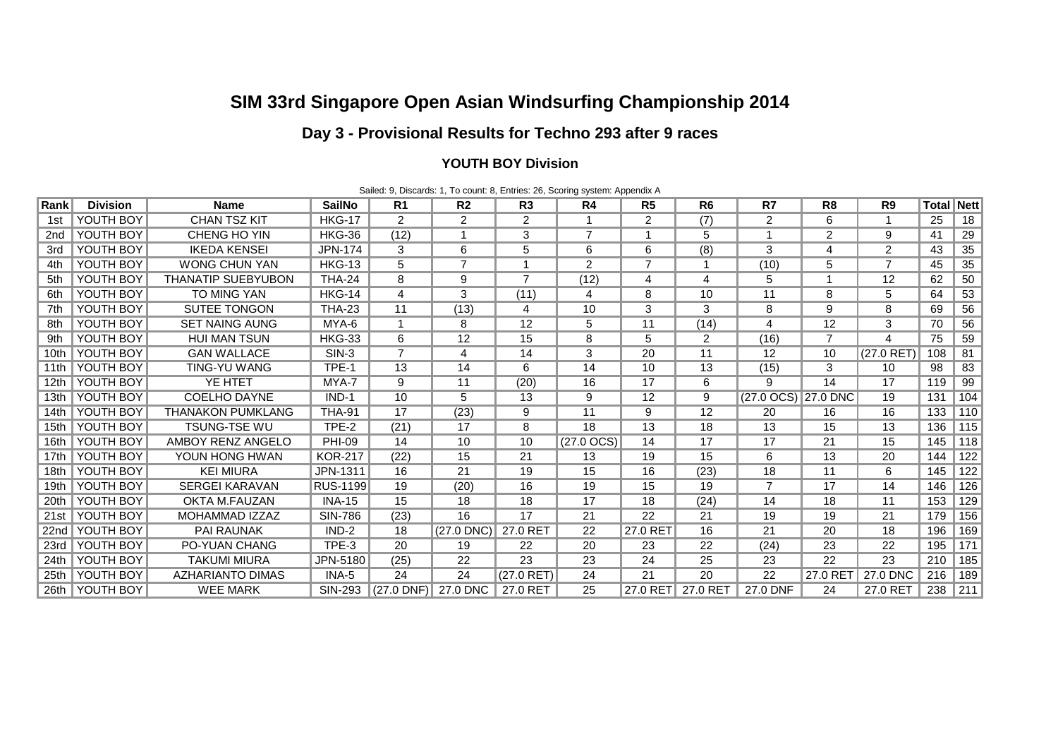# **SIM 33rd Singapore Open Asian Windsurfing Championship 2014**

## **Day 3 - Provisional Results for Techno 293 after 9 races**

#### **YOUTH BOY Division**

|                  |                  |                           |                 |                     |                |                | Sailed: 9, Discards: 1, To count: 8, Entries: 26, Scoring system: Appendix A |                   |                |                     |                |                |                   |                  |
|------------------|------------------|---------------------------|-----------------|---------------------|----------------|----------------|------------------------------------------------------------------------------|-------------------|----------------|---------------------|----------------|----------------|-------------------|------------------|
| Rank             | <b>Division</b>  | <b>Name</b>               | <b>SailNo</b>   | R <sub>1</sub>      | R <sub>2</sub> | R <sub>3</sub> | R4                                                                           | R <sub>5</sub>    | R <sub>6</sub> | R7                  | R <sub>8</sub> | R <sub>9</sub> | <b>Total Nett</b> |                  |
| 1st              | YOUTH BOY        | <b>CHAN TSZ KIT</b>       | <b>HKG-17</b>   | $\overline{2}$      | $\overline{2}$ | $\overline{2}$ | 1                                                                            | $\overline{2}$    | (7)            | $\overline{c}$      | 6              |                | 25                | 18               |
| 2nd              | YOUTH BOY        | CHENG HO YIN              | <b>HKG-36</b>   | (12)                | 1              | 3              | $\overline{7}$                                                               | 1                 | 5              |                     | $\overline{2}$ | 9              | 41                | 29               |
| 3rd              | YOUTH BOY        | <b>IKEDA KENSEI</b>       | JPN-174         | 3                   | 6              | 5              | 6                                                                            | 6                 | (8)            | 3                   | 4              | 2              | 43                | 35               |
| 4th              | YOUTH BOY        | <b>WONG CHUN YAN</b>      | <b>HKG-13</b>   | 5                   | $\overline{7}$ | 1              | 2                                                                            | $\overline{7}$    |                | (10)                | 5              | $\overline{7}$ | 45                | 35               |
| 5th              | YOUTH BOY        | <b>THANATIP SUEBYUBON</b> | <b>THA-24</b>   | 8                   | 9              | $\overline{7}$ | (12)                                                                         | 4                 | 4              | 5                   | -1             | 12             | 62                | 50               |
| 6th              | YOUTH BOY        | TO MING YAN               | <b>HKG-14</b>   | 4                   | 3              | (11)           | 4                                                                            | 8                 | 10             | 11                  | 8              | 5              | 64                | 53               |
| 7th              | YOUTH BOY        | <b>SUTEE TONGON</b>       | <b>THA-23</b>   | 11                  | (13)           | 4              | 10                                                                           | 3                 | 3              | 8                   | 9              | 8              | 69                | 56               |
| 8th              | YOUTH BOY        | <b>SET NAING AUNG</b>     | MYA-6           | 1                   | 8              | 12             | 5                                                                            | 11                | (14)           | 4                   | 12             | 3              | 70                | 56               |
| 9th              | YOUTH BOY        | <b>HUI MAN TSUN</b>       | <b>HKG-33</b>   | 6                   | 12             | 15             | 8                                                                            | 5                 | $\overline{2}$ | (16)                | $\overline{7}$ | 4              | 75                | 59               |
| 10 <sub>th</sub> | YOUTH BOY        | <b>GAN WALLACE</b>        | $SIN-3$         | $\overline{7}$      | 4              | 14             | 3                                                                            | 20                | 11             | 12                  | 10             | $(27.0$ RET)   | 108               | 81               |
| 11th             | YOUTH BOY        | <b>TING-YU WANG</b>       | TPE-1           | 13                  | 14             | 6              | 14                                                                           | 10                | 13             | (15)                | 3              | 10             | 98                | 83               |
| 12 <sub>th</sub> | YOUTH BOY        | YE HTET                   | MYA-7           | 9                   | 11             | (20)           | 16                                                                           | 17                | 6              | 9                   | 14             | 17             | 119               | 99               |
| 13 <sub>th</sub> | YOUTH BOY        | <b>COELHO DAYNE</b>       | $IND-1$         | 10                  | 5              | 13             | 9                                                                            | $12 \overline{ }$ | 9              | (27.0 OCS) 27.0 DNC |                | 19             | 131               | 104              |
| 14 <sub>th</sub> | YOUTH BOY        | <b>THANAKON PUMKLANG</b>  | <b>THA-91</b>   | 17                  | (23)           | 9              | 11                                                                           | 9                 | 12             | 20                  | 16             | 16             | 133               | 110              |
| 15 <sub>th</sub> | YOUTH BOY        | TSUNG-TSE WU              | TPE-2           | (21)                | 17             | 8              | 18                                                                           | 13                | 18             | 13                  | 15             | 13             | 136               | 115              |
| 16th             | YOUTH BOY        | <b>AMBOY RENZ ANGELO</b>  | <b>PHI-09</b>   | 14                  | 10             | 10             | $(27.0 \text{ OCS})$                                                         | 14                | 17             | 17                  | 21             | 15             | 145               | 118              |
| 17th             | YOUTH BOY        | YOUN HONG HWAN            | <b>KOR-217</b>  | (22)                | 15             | 21             | 13                                                                           | 19                | 15             | 6                   | 13             | 20             | 144               | 122              |
| 18th             | YOUTH BOY        | <b>KEI MIURA</b>          | JPN-1311        | 16                  | 21             | 19             | 15                                                                           | 16                | (23)           | 18                  | 11             | 6              | 145               | $\overline{122}$ |
| 19 <sub>th</sub> | YOUTH BOY        | <b>SERGEI KARAVAN</b>     | <b>RUS-1199</b> | 19                  | (20)           | 16             | 19                                                                           | 15                | 19             | 7                   | 17             | 14             | 146               | 126              |
| 20th             | YOUTH BOY        | OKTA M.FAUZAN             | <b>INA-15</b>   | 15                  | 18             | 18             | 17                                                                           | 18                | (24)           | 14                  | 18             | 11             | 153               | 129              |
| 21st             | YOUTH BOY        | MOHAMMAD IZZAZ            | <b>SIN-786</b>  | (23)                | 16             | 17             | 21                                                                           | 22                | 21             | 19                  | 19             | 21             | 179               | 156              |
| 22nd             | YOUTH BOY        | <b>PAI RAUNAK</b>         | $IND-2$         | 18                  | $(27.0$ DNC)   | 27.0 RET       | 22                                                                           | 27.0 RET          | 16             | 21                  | 20             | 18             | 196               | 169              |
| 23rd             | YOUTH BOY        | PO-YUAN CHANG             | TPE-3           | 20                  | 19             | 22             | 20                                                                           | 23                | 22             | (24)                | 23             | 22             | 195               | 171              |
| 24th             | YOUTH BOY        | <b>TAKUMI MIURA</b>       | JPN-5180        | (25)                | 22             | 23             | 23                                                                           | 24                | 25             | 23                  | 22             | 23             | 210               | 185              |
| 25th             | YOUTH BOY        | <b>AZHARIANTO DIMAS</b>   | INA-5           | 24                  | 24             | $(27.0$ RET)   | 24                                                                           | 21                | 20             | 22                  | 27.0 RET       | 27.0 DNC       | 216               | 189              |
|                  | 26th   YOUTH BOY | <b>WEE MARK</b>           | SIN-293         | (27.0 DNF) 27.0 DNC |                | 27.0 RET       | 25                                                                           | 27.0 RET          | 27.0 RET       | 27.0 DNF            | 24             | 27.0 RET       | 238               | 211              |